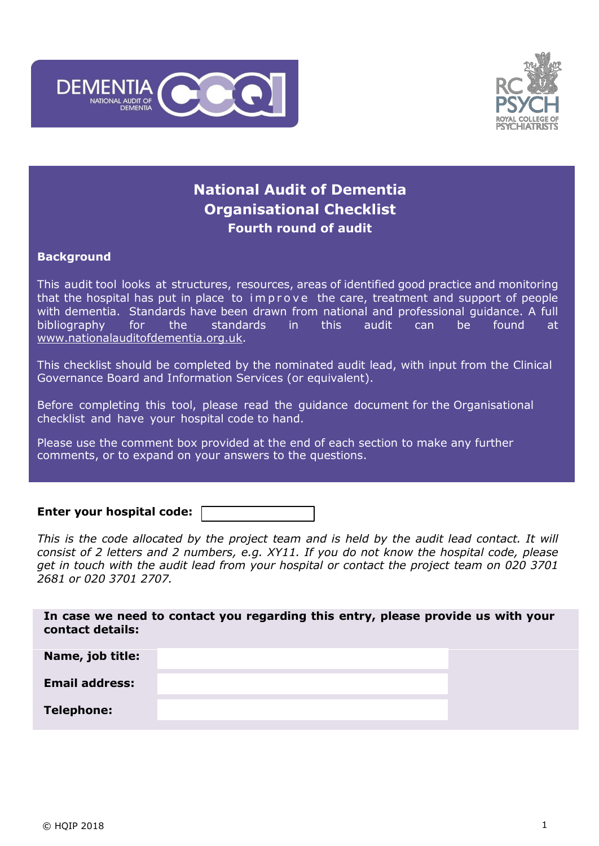



# **National Audit of Dementia Organisational Checklist Fourth round of audit**

## **Background**

This audit tool looks at structures, resources, areas of identified good practice and monitoring that the hospital has put in place to improve the care, treatment and support of people with dementia. Standards have been drawn from national and professional guidance. A full bibliography for the standards in this audit can be found at [www.nationalauditofdementia.org.uk.](http://www.nationalauditofdementia.org.uk/)

This checklist should be completed by the nominated audit lead, with input from the Clinical Governance Board and Information Services (or equivalent).

Before completing this tool, please read the guidance document for the Organisational checklist and have your hospital code to hand.

Please use the comment box provided at the end of each section to make any further comments, or to expand on your answers to the questions.

**Enter your hospital code:**

*This is the code allocated by the project team and is held by the audit lead contact. It will consist of 2 letters and 2 numbers, e.g. XY11. If you do not know the hospital code, please get in touch with the audit lead from your hospital or contact the project team on 020 3701 2681 or 020 3701 2707.*

**In case we need to contact you regarding this entry, please provide us with your contact details: Name, job title: Email address:**

**Telephone:**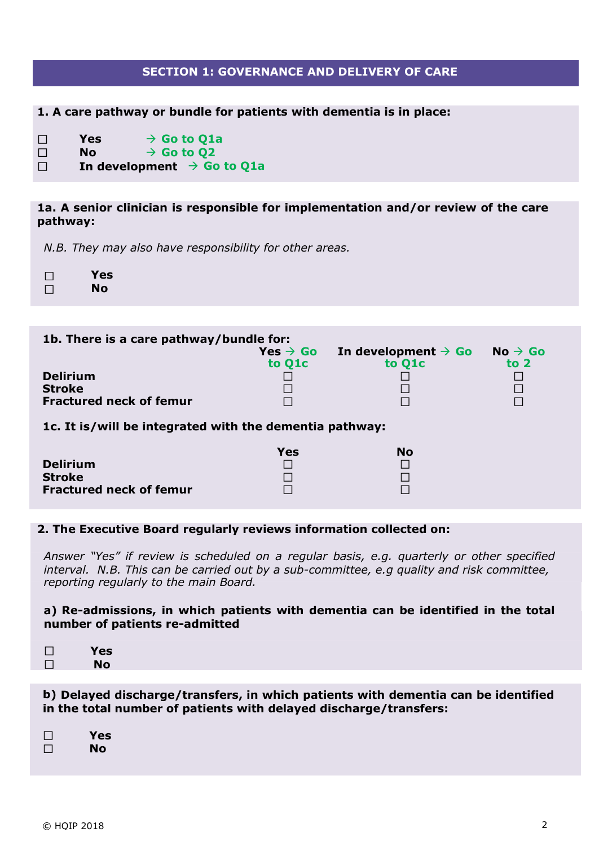# **SECTION 1: GOVERNANCE AND DELIVERY OF CARE**

**1. A care pathway or bundle for patients with dementia is in place:**

- **Yes**  $\rightarrow$  **Go** to **Q1a**  $\Box$
- $\Box$  $N$ **o**  $\rightarrow$  **Go** to **Q2**
- $\Box$ **In development**  $\rightarrow$  Go to Q1a

## **1a. A senior clinician is responsible for implementation and/or review of the care pathway:**

*N.B. They may also have responsibility for other areas.*

| $\perp$ | Yes |
|---------|-----|
| $\Box$  | No  |

| 1b. There is a care pathway/bundle for: |                                             |                                           |                               |  |  |
|-----------------------------------------|---------------------------------------------|-------------------------------------------|-------------------------------|--|--|
|                                         | $Yes \rightarrow Go$<br>to Q <sub>1</sub> c | In development $\rightarrow$ Go<br>to O1c | $No \rightarrow Go$<br>to $2$ |  |  |
| <b>Delirium</b><br><b>Stroke</b>        |                                             |                                           |                               |  |  |
| <b>Fractured neck of femur</b>          |                                             |                                           |                               |  |  |

**1c. It is/will be integrated with the dementia pathway:**

|                                | Yes | No |
|--------------------------------|-----|----|
| <b>Delirium</b>                |     |    |
| <b>Stroke</b>                  |     |    |
| <b>Fractured neck of femur</b> |     |    |

#### **2. The Executive Board regularly reviews information collected on:**

*Answer "Yes" if review is scheduled on a regular basis, e.g. quarterly or other specified interval. N.B. This can be carried out by a sub-committee, e.g quality and risk committee, reporting regularly to the main Board.*

#### **a) Re-admissions, in which patients with dementia can be identified in the total number of patients re-admitted**

| Yes |
|-----|
| No  |
|     |

## **b) Delayed discharge/transfers, in which patients with dementia can be identified in the total number of patients with delayed discharge/transfers:**

| $\perp$ | Yes |
|---------|-----|
|         | No  |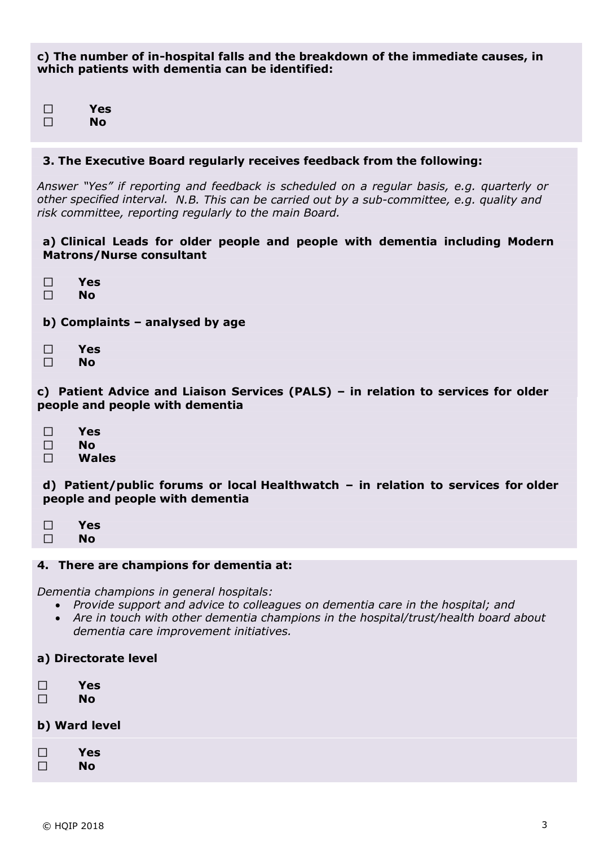**c) The number of in-hospital falls and the breakdown of the immediate causes, in which patients with dementia can be identified:**

**Yes**  $\Box$  $\Box$ **No**

#### **3. The Executive Board regularly receives feedback from the following:**

*Answer "Yes" if reporting and feedback is scheduled on a regular basis, e.g. quarterly or other specified interval. N.B. This can be carried out by a sub-committee, e.g. quality and risk committee, reporting regularly to the main Board.*

### **a) Clinical Leads for older people and people with dementia including Modern Matrons/Nurse consultant**

- $\Box$ **Yes**
- $\Box$ **No**
- **b) Complaints – analysed by age**
- $\Box$ **Yes**
- $\Box$ **No**

**c) Patient Advice and Liaison Services (PALS) – in relation to services for older people and people with dementia**

- $\Box$ **Yes**
- $\Box$ **No**
- $\Box$ **Wales**

**d) Patient/public forums or local Healthwatch – in relation to services for older people and people with dementia**

- $\Box$ **Yes**
- $\Box$ **No**

#### **4. There are champions for dementia at:**

*Dementia champions in general hospitals:*

- *Provide support and advice to colleagues on dementia care in the hospital; and*
- *Are in touch with other dementia champions in the hospital/trust/health board about dementia care improvement initiatives.*
- **a) Directorate level**
- $\Box$ **Yes**  $\Box$ **No**

**b) Ward level**

**Yes**  $\Box$  $\Box$ **No**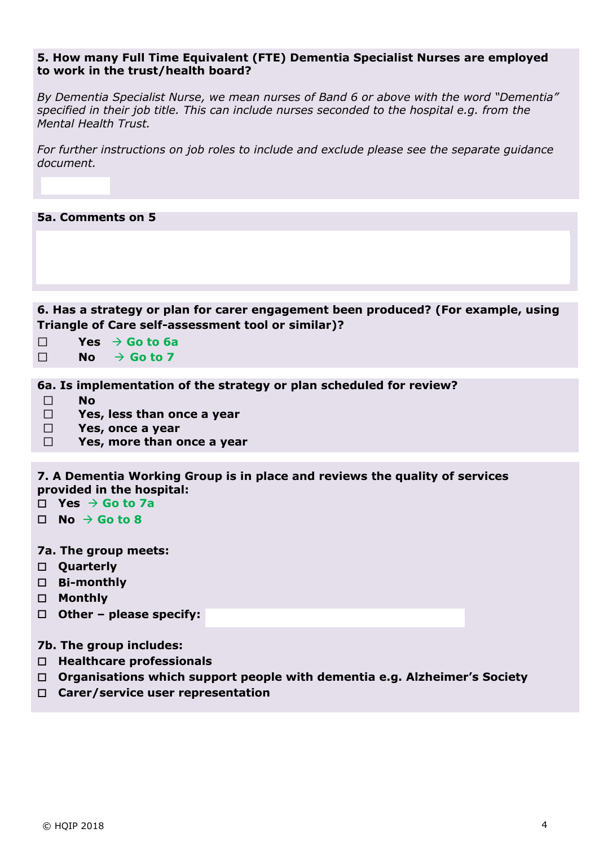#### **5. How many Full Time Equivalent (FTE) Dementia Specialist Nurses are employed to work in the trust/health board?**

*By Dementia Specialist Nurse, we mean nurses of Band 6 or above with the word "Dementia" specified in their job title. This can include nurses seconded to the hospital e.g. from the Mental Health Trust.* 

*For further instructions on job roles to include and exclude please see the separate guidance document.*

**5a. Comments on 5**

**6. Has a strategy or plan for carer engagement been produced? (For example, using Triangle of Care self-assessment tool or similar)?**

- П  $Yes \rightarrow Go$  to  $6a$
- $\Box$  $N$ **o**  $\rightarrow$  **Go** to 7

**6a. Is implementation of the strategy or plan scheduled for review?**

- $\Box$ **No**
- $\Box$ **Yes, less than once a year**
- $\Box$ **Yes, once a year**
- $\Box$ **Yes, more than once a year**

**7. A Dementia Working Group is in place and reviews the quality of services provided in the hospital:**

- $\Box$  **Yes**  $\rightarrow$  **Go** to 7a
- $\Pi$  **No**  $\rightarrow$  **Go** to 8
- **7a. The group meets:**
- **Quarterly**
- **Bi-monthly**
- **Monthly**
- **Other – please specify:**
- **7b. The group includes:**
- **Healthcare professionals**
- **Organisations which support people with dementia e.g. Alzheimer's Society**
- **Carer/service user representation**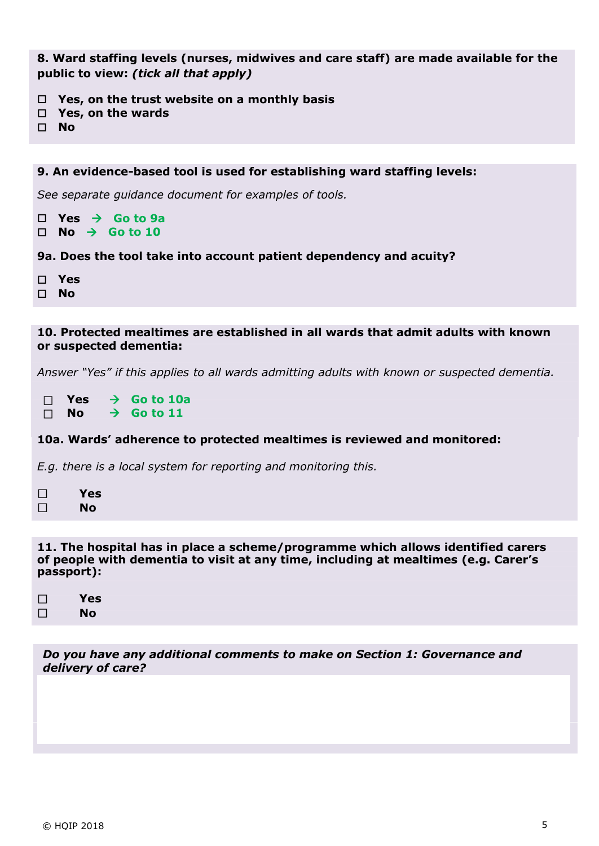**8. Ward staffing levels (nurses, midwives and care staff) are made available for the public to view:** *(tick all that apply)*

- **Yes, on the trust website on a monthly basis**
- **Yes, on the wards**
- **No**

```
9. An evidence-based tool is used for establishing ward staffing levels:
See separate guidance document for examples of tools.
\Box Yes \rightarrow Go to 9a
\Box No \rightarrow Go to 10
9a. Does the tool take into account patient dependency and acuity?
 Yes
 No
```
### **10. Protected mealtimes are established in all wards that admit adults with known or suspected dementia:**

*Answer "Yes" if this applies to all wards admitting adults with known or suspected dementia.*

 $\Box$  $Yes$   $\rightarrow$  **Go** to 10a  $N$ **o**  $\rightarrow$  **Go** to 11  $\Box$ 

# **10a. Wards' adherence to protected mealtimes is reviewed and monitored:**

*E.g. there is a local system for reporting and monitoring this.*

- $\Box$ **Yes**  $\Box$ **No**
- 

**11. The hospital has in place a scheme/programme which allows identified carers of people with dementia to visit at any time, including at mealtimes (e.g. Carer's passport):**

 $\Box$ **Yes**  $\Box$ **No**

*Do you have any additional comments to make on Section 1: Governance and delivery of care?*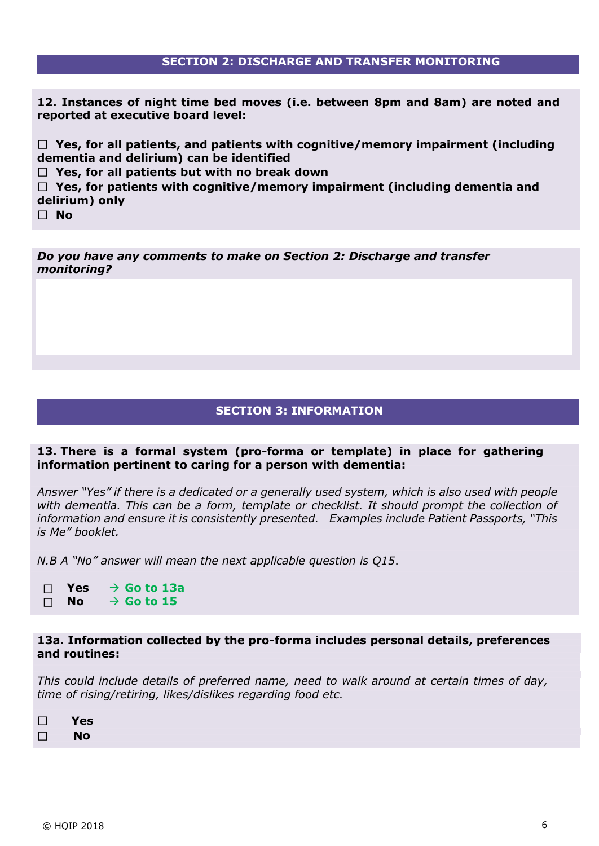# **SECTION 2: DISCHARGE AND TRANSFER MONITORING**

**12. Instances of night time bed moves (i.e. between 8pm and 8am) are noted and reported at executive board level:**

 **Yes, for all patients, and patients with cognitive/memory impairment (including dementia and delirium) can be identified**

 **Yes, for all patients but with no break down**

 **Yes, for patients with cognitive/memory impairment (including dementia and delirium) only**

 **No**

*Do you have any comments to make on Section 2: Discharge and transfer monitoring?* 

### **SECTION 3: INFORMATION**

#### **13. There is a formal system (pro-forma or template) in place for gathering information pertinent to caring for a person with dementia:**

*Answer "Yes" if there is a dedicated or a generally used system, which is also used with people with dementia. This can be a form, template or checklist. It should prompt the collection of information and ensure it is consistently presented. Examples include Patient Passports, "This is Me" booklet.*

*N.B A "No" answer will mean the next applicable question is Q15*.

 $Yes$   $\rightarrow$  **Go** to 13a  $\Box$  $N$ **o**  $\rightarrow$  **Go to 15**  $\Box$ 

#### **13a. Information collected by the pro-forma includes personal details, preferences and routines:**

*This could include details of preferred name, need to walk around at certain times of day, time of rising/retiring, likes/dislikes regarding food etc.*

 **Yes**  $\Box$ **No**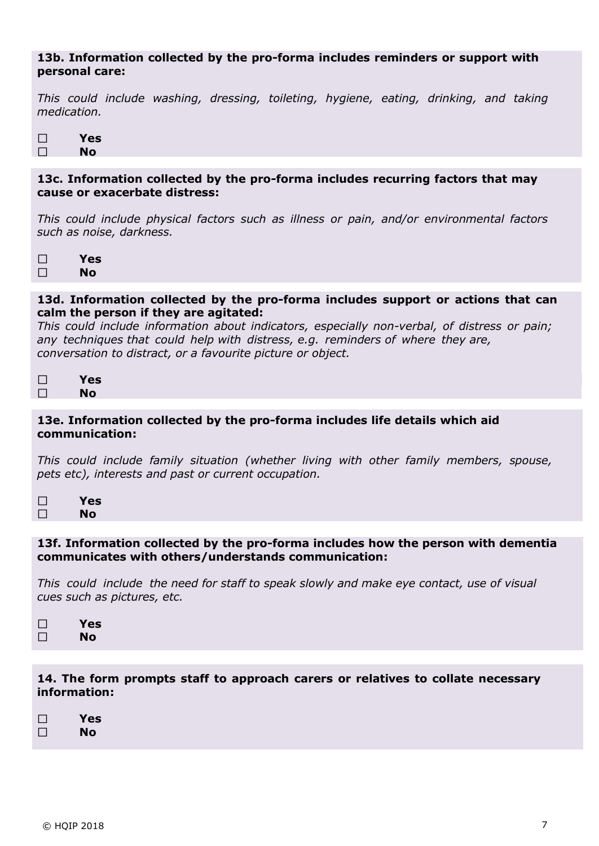## **13b. Information collected by the pro-forma includes reminders or support with personal care:**

*This could include washing, dressing, toileting, hygiene, eating, drinking, and taking medication.*

| Yes       |
|-----------|
| <b>No</b> |

## **13c. Information collected by the pro-forma includes recurring factors that may cause or exacerbate distress:**

*This could include physical factors such as illness or pain, and/or environmental factors such as noise, darkness.*

 $\Box$ **Yes** П **No**

### **13d. Information collected by the pro-forma includes support or actions that can calm the person if they are agitated:**

*This could include information about indicators, especially non-verbal, of distress or pain; any techniques that could help with distress, e.g. reminders of where they are, conversation to distract, or a favourite picture or object.*

| Yes |
|-----|
| No  |

## **13e. Information collected by the pro-forma includes life details which aid communication:**

*This could include family situation (whether living with other family members, spouse, pets etc), interests and past or current occupation.*

| П | Yes |
|---|-----|
|   | No  |

#### **13f. Information collected by the pro-forma includes how the person with dementia communicates with others/understands communication:**

*This could include the need for staff to speak slowly and make eye contact, use of visual cues such as pictures, etc.*

| $\perp$ | Yes |
|---------|-----|
| $\perp$ | No  |

**14. The form prompts staff to approach carers or relatives to collate necessary information:**

| $\Box$ | Yes |
|--------|-----|
| $\Box$ | No  |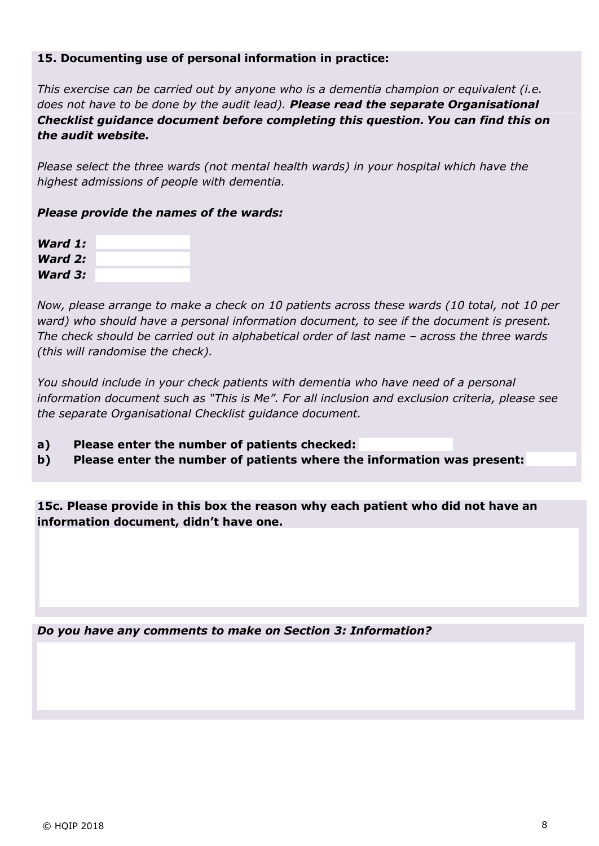## **15. Documenting use of personal information in practice:**

*This exercise can be carried out by anyone who is a dementia champion or equivalent (i.e. does not have to be done by the audit lead). Please read the separate Organisational Checklist guidance document before completing this question. You can find this on the audit website.*

*Please select the three wards (not mental health wards) in your hospital which have the highest admissions of people with dementia.*

## *Please provide the names of the wards:*

| Ward 1: |  |
|---------|--|
|         |  |
| Ward 2: |  |
|         |  |
| Ward 3: |  |

*Now, please arrange to make a check on 10 patients across these wards (10 total, not 10 per ward) who should have a personal information document, to see if the document is present. The check should be carried out in alphabetical order of last name – across the three wards (this will randomise the check).*

*You should include in your check patients with dementia who have need of a personal information document such as "This is Me". For all inclusion and exclusion criteria, please see the separate Organisational Checklist guidance document.*

- **a) Please enter the number of patients checked:**
- **b) Please enter the number of patients where the information was present:**

**15c. Please provide in this box the reason why each patient who did not have an information document, didn't have one.**

*Do you have any comments to make on Section 3: Information?*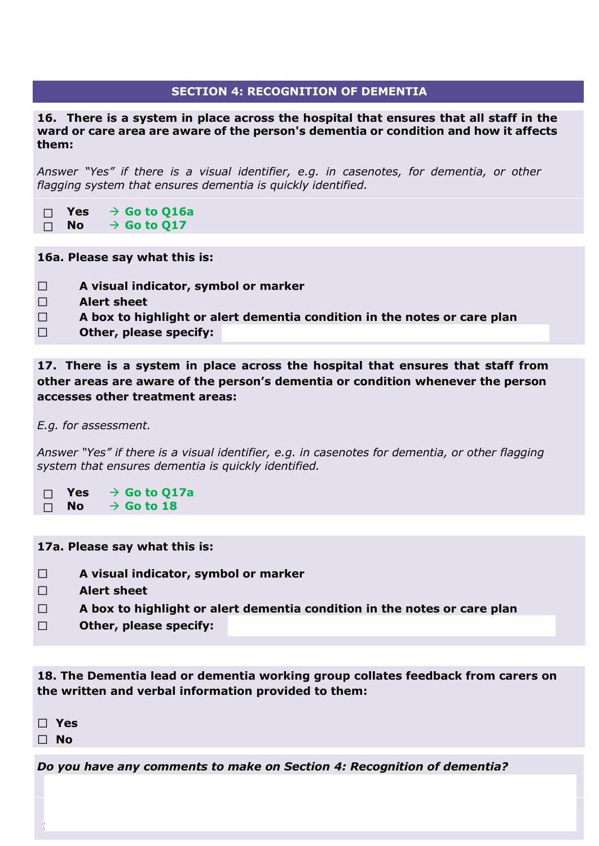# **SECTION 4: RECOGNITION OF DEMENTIA**

**16. There is a system in place across the hospital that ensures that all staff in the ward or care area are aware of the person's dementia or condition and how it affects them:**

*Answer "Yes" if there is a visual identifier, e.g. in casenotes, for dementia, or other flagging system that ensures dementia is quickly identified.*

- **Yes**  $\rightarrow$  **Go** to Q16a  $\Box$
- $N$ **o**  $\rightarrow$  **Go** to **Q17**  $\Box$

**16a. Please say what this is:**

- **A visual indicator, symbol or marker**  $\Box$
- **Alert sheet**  $\Box$
- **A box to highlight or alert dementia condition in the notes or care plan**  $\Box$
- $\Box$ **Other, please specify:**

**17. There is a system in place across the hospital that ensures that staff from other areas are aware of the person's dementia or condition whenever the person accesses other treatment areas:**

*E.g. for assessment.*

*Answer "Yes" if there is a visual identifier, e.g. in casenotes for dementia, or other flagging system that ensures dementia is quickly identified.*

 $Yes \rightarrow Go$  to 017a  $\Box$  $\Box$  $N$ **o**  $\rightarrow$  **Go** to 18

**17a. Please say what this is:**

- $\Box$ **A visual indicator, symbol or marker**
- $\Box$ **Alert sheet**
- $\Box$ **A box to highlight or alert dementia condition in the notes or care plan**
- **Other, please specify:**  $\Box$

**18. The Dementia lead or dementia working group collates feedback from carers on the written and verbal information provided to them:**

 **Yes**

 **No**

*Do you have any comments to make on Section 4: Recognition of dementia?*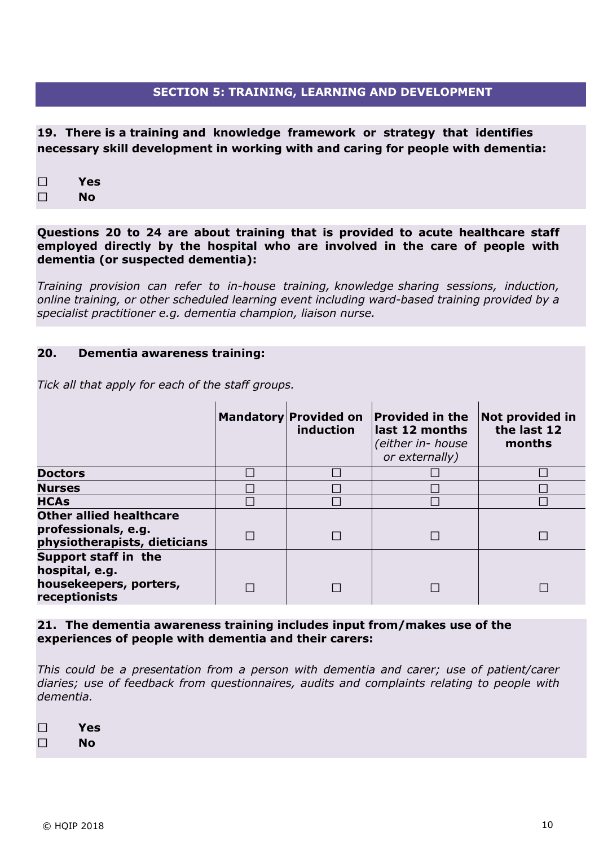## **SECTION 5: TRAINING, LEARNING AND DEVELOPMENT**

**19. There is a training and knowledge framework or strategy that identifies necessary skill development in working with and caring for people with dementia:**

 $\Box$ **Yes**

 $\Box$ **No**

**Questions 20 to 24 are about training that is provided to acute healthcare staff employed directly by the hospital who are involved in the care of people with dementia (or suspected dementia):**

*Training provision can refer to in-house training, knowledge sharing sessions, induction, online training, or other scheduled learning event including ward-based training provided by a specialist practitioner e.g. dementia champion, liaison nurse.*

#### **20. Dementia awareness training:**

*Tick all that apply for each of the staff groups.*

|                                                                                       | <b>Mandatory Provided on</b><br>induction | <b>Provided in the</b><br>last 12 months<br>(either in- house<br>or externally) | <b>Not provided in</b><br>the last 12<br>months |
|---------------------------------------------------------------------------------------|-------------------------------------------|---------------------------------------------------------------------------------|-------------------------------------------------|
| <b>Doctors</b>                                                                        |                                           |                                                                                 |                                                 |
| <b>Nurses</b>                                                                         |                                           |                                                                                 |                                                 |
| <b>HCAs</b>                                                                           |                                           |                                                                                 |                                                 |
| <b>Other allied healthcare</b><br>professionals, e.g.<br>physiotherapists, dieticians |                                           |                                                                                 |                                                 |
| Support staff in the<br>hospital, e.g.<br>housekeepers, porters,<br>receptionists     |                                           |                                                                                 |                                                 |

**21. The dementia awareness training includes input from/makes use of the experiences of people with dementia and their carers:**

*This could be a presentation from a person with dementia and carer; use of patient/carer diaries; use of feedback from questionnaires, audits and complaints relating to people with dementia.*

**Yes**  $\Box$ 

 $\Box$ **No**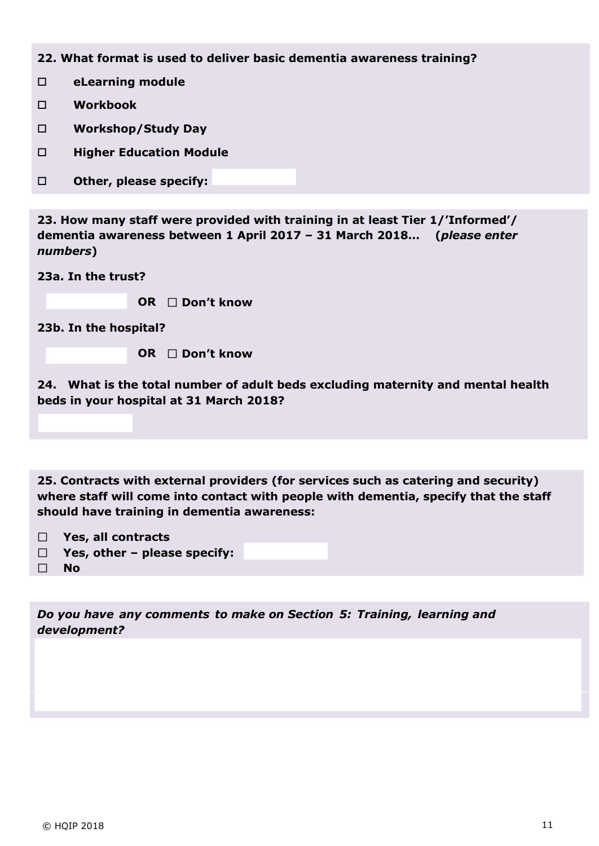**22. What format is used to deliver basic dementia awareness training?**

**eLearning module**

- **Workbook**
- **Workshop/Study Day**
- **Higher Education Module**
- **D** Other, please specify:

**23. How many staff were provided with training in at least Tier 1/'Informed'/ dementia awareness between 1 April 2017 – 31 March 2018… (***please enter numbers***)**

**23a. In the trust?**

 **OR Don't know** 

**23b. In the hospital?**

 **OR Don't know** 

**24. What is the total number of adult beds excluding maternity and mental health beds in your hospital at 31 March 2018?**

**25. Contracts with external providers (for services such as catering and security) where staff will come into contact with people with dementia, specify that the staff should have training in dementia awareness:**

- **Yes, all contracts**
- **Yes, other – please specify:**  $\Box$
- $\Box$  **No**

*Do you have any comments to make on Section 5: Training, learning and development?*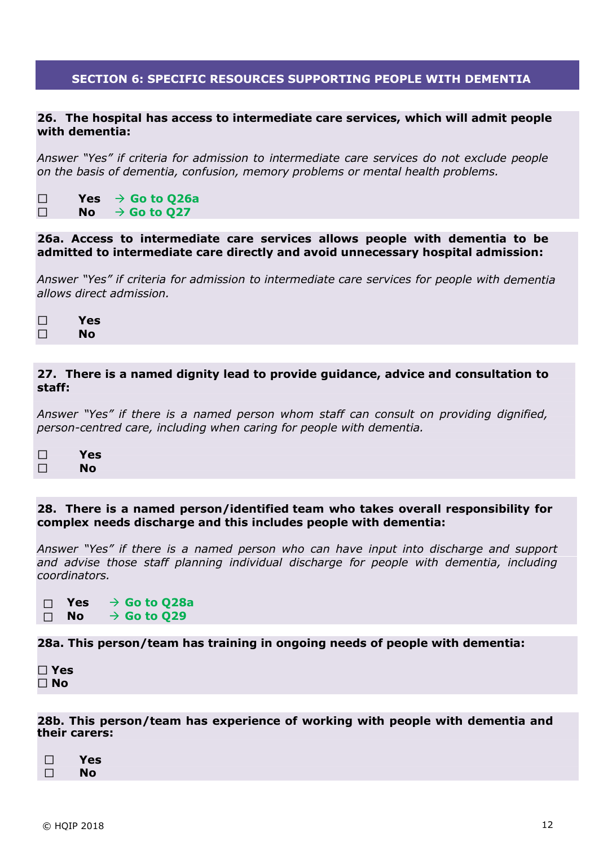## **SECTION 6: SPECIFIC RESOURCES SUPPORTING PEOPLE WITH DEMENTIA**

#### **26. The hospital has access to intermediate care services, which will admit people with dementia:**

*Answer "Yes" if criteria for admission to intermediate care services do not exclude people on the basis of dementia, confusion, memory problems or mental health problems.*

 $Yes \rightarrow Go$  to  $Q26a$ ⊔  $\Box$  $N$ **o**  $\rightarrow$  **Go** to **Q27** 

#### **26a. Access to intermediate care services allows people with dementia to be admitted to intermediate care directly and avoid unnecessary hospital admission:**

*Answer "Yes" if criteria for admission to intermediate care services for people with dementia allows direct admission.*

| $\Box$ | Yes |
|--------|-----|
| П      | No  |

#### **27. There is a named dignity lead to provide guidance, advice and consultation to staff:**

*Answer "Yes" if there is a named person whom staff can consult on providing dignified, person-centred care, including when caring for people with dementia.*

| TТ     | <b>Yes</b> |
|--------|------------|
| $\Box$ | No         |

#### **28. There is a named person/identified team who takes overall responsibility for complex needs discharge and this includes people with dementia:**

*Answer "Yes" if there is a named person who can have input into discharge and support and advise those staff planning individual discharge for people with dementia, including coordinators.*

 $Yes \rightarrow Go$  to  $Q28a$  $\Box$  $N$ **o**  $\rightarrow$  **Go** to Q29  $\Box$ 

#### **28a. This person/team has training in ongoing needs of people with dementia:**

**Yes No**

**28b. This person/team has experience of working with people with dementia and their carers:**

| Yes       |
|-----------|
| <b>No</b> |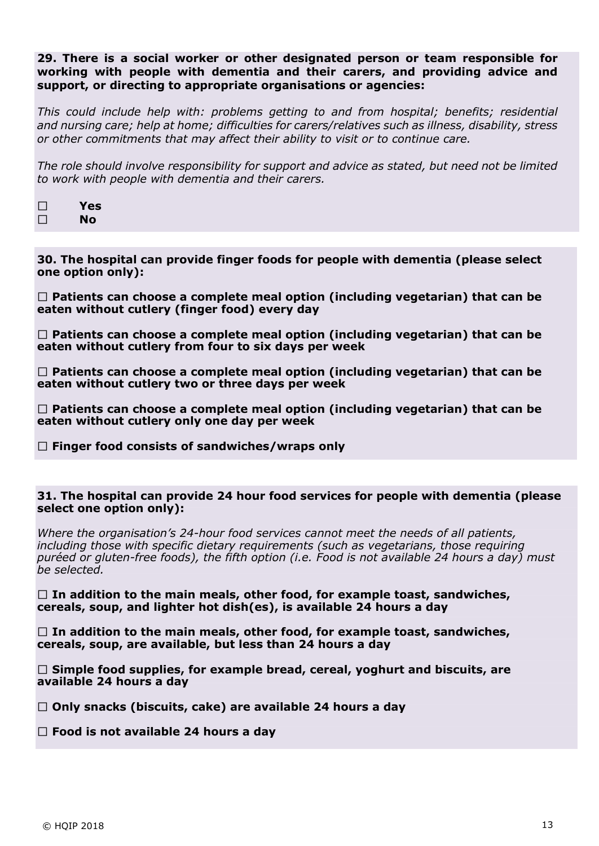#### **29. There is a social worker or other designated person or team responsible for working with people with dementia and their carers, and providing advice and support, or directing to appropriate organisations or agencies:**

*This could include help with: problems getting to and from hospital; benefits; residential and nursing care; help at home; difficulties for carers/relatives such as illness, disability, stress or other commitments that may affect their ability to visit or to continue care.*

*The role should involve responsibility for support and advice as stated, but need not be limited to work with people with dementia and their carers.*

| П | Yes |
|---|-----|
| П | No  |

**30. The hospital can provide finger foods for people with dementia (please select one option only):**

**Patients can choose a complete meal option (including vegetarian) that can be eaten without cutlery (finger food) every day**

**Patients can choose a complete meal option (including vegetarian) that can be eaten without cutlery from four to six days per week**

**Patients can choose a complete meal option (including vegetarian) that can be eaten without cutlery two or three days per week**

**Patients can choose a complete meal option (including vegetarian) that can be eaten without cutlery only one day per week**

**Finger food consists of sandwiches/wraps only**

#### **31. The hospital can provide 24 hour food services for people with dementia (please select one option only):**

*Where the organisation's 24-hour food services cannot meet the needs of all patients, including those with specific dietary requirements (such as vegetarians, those requiring puréed or gluten-free foods), the fifth option (i.e. Food is not available 24 hours a day) must be selected.*

**In addition to the main meals, other food, for example toast, sandwiches, cereals, soup, and lighter hot dish(es), is available 24 hours a day**

**In addition to the main meals, other food, for example toast, sandwiches, cereals, soup, are available, but less than 24 hours a day** 

**Simple food supplies, for example bread, cereal, yoghurt and biscuits, are available 24 hours a day** 

**Only snacks (biscuits, cake) are available 24 hours a day**

**Food is not available 24 hours a day**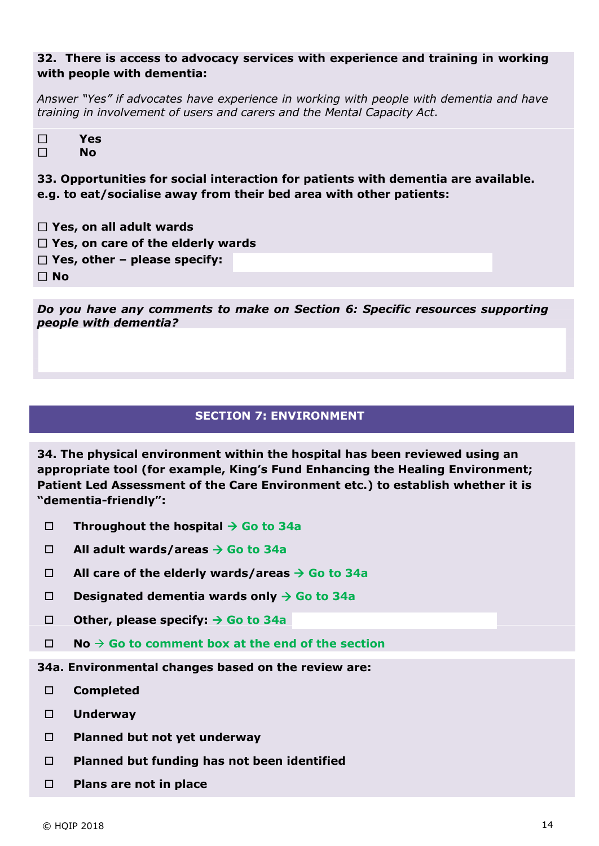# **32. There is access to advocacy services with experience and training in working with people with dementia:**

*Answer "Yes" if advocates have experience in working with people with dementia and have training in involvement of users and carers and the Mental Capacity Act.*

| $\Box$ | Yes |
|--------|-----|
| П      | No  |

**33. Opportunities for social interaction for patients with dementia are available. e.g. to eat/socialise away from their bed area with other patients:**

- **Yes, on all adult wards Yes, on care of the elderly wards**
- **Yes, other – please specify:**

**No**

*Do you have any comments to make on Section 6: Specific resources supporting people with dementia?*

# **SECTION 7: ENVIRONMENT**

**34. The physical environment within the hospital has been reviewed using an appropriate tool (for example, King's Fund Enhancing the Healing Environment; Patient Led Assessment of the Care Environment etc.) to establish whether it is "dementia-friendly":**

- **Throughout the hospital Go to 34a**
- **All adult wards/areas Go to 34a**
- **All care of the elderly wards/areas Go to 34a**
- **Designated dementia wards only Go to 34a**
- **Other, please specify: Go to 34a**
- $\Box$  **No**  $\rightarrow$  Go to comment box at the end of the section

**34a. Environmental changes based on the review are:**

- **Completed**
- **Underway**
- **Planned but not yet underway**
- **Planned but funding has not been identified**
- **Plans are not in place**